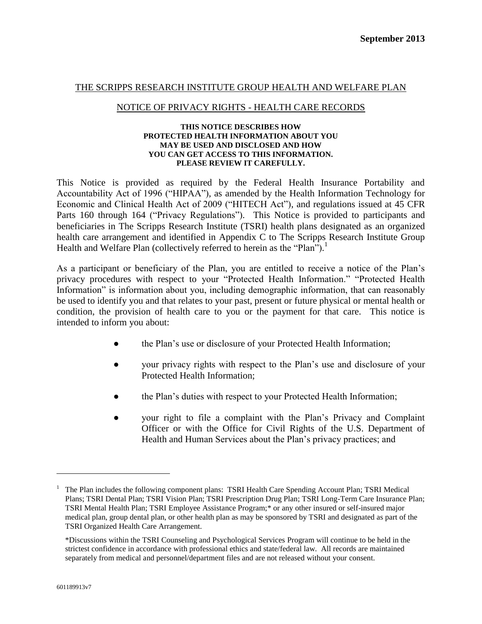#### THE SCRIPPS RESEARCH INSTITUTE GROUP HEALTH AND WELFARE PLAN

#### NOTICE OF PRIVACY RIGHTS - HEALTH CARE RECORDS

#### **THIS NOTICE DESCRIBES HOW PROTECTED HEALTH INFORMATION ABOUT YOU MAY BE USED AND DISCLOSED AND HOW YOU CAN GET ACCESS TO THIS INFORMATION. PLEASE REVIEW IT CAREFULLY.**

This Notice is provided as required by the Federal Health Insurance Portability and Accountability Act of 1996 ("HIPAA"), as amended by the Health Information Technology for Economic and Clinical Health Act of 2009 ("HITECH Act"), and regulations issued at 45 CFR Parts 160 through 164 ("Privacy Regulations"). This Notice is provided to participants and beneficiaries in The Scripps Research Institute (TSRI) health plans designated as an organized health care arrangement and identified in Appendix C to The Scripps Research Institute Group Health and Welfare Plan (collectively referred to herein as the "Plan").<sup>1</sup>

As a participant or beneficiary of the Plan, you are entitled to receive a notice of the Plan's privacy procedures with respect to your "Protected Health Information." "Protected Health Information" is information about you, including demographic information, that can reasonably be used to identify you and that relates to your past, present or future physical or mental health or condition, the provision of health care to you or the payment for that care. This notice is intended to inform you about:

- the Plan's use or disclosure of your Protected Health Information;
- your privacy rights with respect to the Plan's use and disclosure of your Protected Health Information;
- the Plan's duties with respect to your Protected Health Information;
- your right to file a complaint with the Plan's Privacy and Complaint Officer or with the Office for Civil Rights of the U.S. Department of Health and Human Services about the Plan's privacy practices; and

 $\overline{a}$ 

<sup>1</sup> The Plan includes the following component plans: TSRI Health Care Spending Account Plan; TSRI Medical Plans; TSRI Dental Plan; TSRI Vision Plan; TSRI Prescription Drug Plan; TSRI Long-Term Care Insurance Plan; TSRI Mental Health Plan; TSRI Employee Assistance Program;\* or any other insured or self-insured major medical plan, group dental plan, or other health plan as may be sponsored by TSRI and designated as part of the TSRI Organized Health Care Arrangement.

<sup>\*</sup>Discussions within the TSRI Counseling and Psychological Services Program will continue to be held in the strictest confidence in accordance with professional ethics and state/federal law. All records are maintained separately from medical and personnel/department files and are not released without your consent.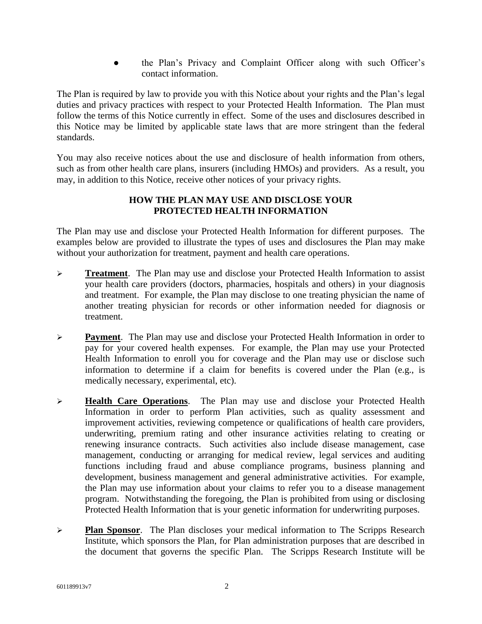the Plan's Privacy and Complaint Officer along with such Officer's contact information.

The Plan is required by law to provide you with this Notice about your rights and the Plan's legal duties and privacy practices with respect to your Protected Health Information. The Plan must follow the terms of this Notice currently in effect. Some of the uses and disclosures described in this Notice may be limited by applicable state laws that are more stringent than the federal standards.

You may also receive notices about the use and disclosure of health information from others, such as from other health care plans, insurers (including HMOs) and providers. As a result, you may, in addition to this Notice, receive other notices of your privacy rights.

## **HOW THE PLAN MAY USE AND DISCLOSE YOUR PROTECTED HEALTH INFORMATION**

The Plan may use and disclose your Protected Health Information for different purposes. The examples below are provided to illustrate the types of uses and disclosures the Plan may make without your authorization for treatment, payment and health care operations.

- **Treatment**. The Plan may use and disclose your Protected Health Information to assist your health care providers (doctors, pharmacies, hospitals and others) in your diagnosis and treatment. For example, the Plan may disclose to one treating physician the name of another treating physician for records or other information needed for diagnosis or treatment.
- **Payment**. The Plan may use and disclose your Protected Health Information in order to pay for your covered health expenses. For example, the Plan may use your Protected Health Information to enroll you for coverage and the Plan may use or disclose such information to determine if a claim for benefits is covered under the Plan (e.g., is medically necessary, experimental, etc).
- **Health Care Operations**. The Plan may use and disclose your Protected Health Information in order to perform Plan activities, such as quality assessment and improvement activities, reviewing competence or qualifications of health care providers, underwriting, premium rating and other insurance activities relating to creating or renewing insurance contracts. Such activities also include disease management, case management, conducting or arranging for medical review, legal services and auditing functions including fraud and abuse compliance programs, business planning and development, business management and general administrative activities. For example, the Plan may use information about your claims to refer you to a disease management program. Notwithstanding the foregoing, the Plan is prohibited from using or disclosing Protected Health Information that is your genetic information for underwriting purposes.
- **Plan Sponsor**. The Plan discloses your medical information to The Scripps Research Institute, which sponsors the Plan, for Plan administration purposes that are described in the document that governs the specific Plan. The Scripps Research Institute will be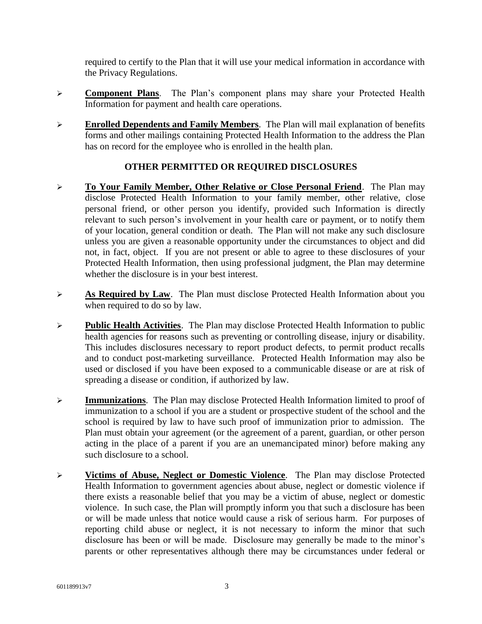required to certify to the Plan that it will use your medical information in accordance with the Privacy Regulations.

- **Component Plans**. The Plan's component plans may share your Protected Health Information for payment and health care operations.
- **Enrolled Dependents and Family Members.** The Plan will mail explanation of benefits forms and other mailings containing Protected Health Information to the address the Plan has on record for the employee who is enrolled in the health plan.

# **OTHER PERMITTED OR REQUIRED DISCLOSURES**

- **To Your Family Member, Other Relative or Close Personal Friend**. The Plan may disclose Protected Health Information to your family member, other relative, close personal friend, or other person you identify, provided such Information is directly relevant to such person's involvement in your health care or payment, or to notify them of your location, general condition or death. The Plan will not make any such disclosure unless you are given a reasonable opportunity under the circumstances to object and did not, in fact, object. If you are not present or able to agree to these disclosures of your Protected Health Information, then using professional judgment, the Plan may determine whether the disclosure is in your best interest.
- **As Required by Law.** The Plan must disclose Protected Health Information about you when required to do so by law.
- **Public Health Activities**. The Plan may disclose Protected Health Information to public health agencies for reasons such as preventing or controlling disease, injury or disability. This includes disclosures necessary to report product defects, to permit product recalls and to conduct post-marketing surveillance. Protected Health Information may also be used or disclosed if you have been exposed to a communicable disease or are at risk of spreading a disease or condition, if authorized by law.
- **Immunizations**. The Plan may disclose Protected Health Information limited to proof of immunization to a school if you are a student or prospective student of the school and the school is required by law to have such proof of immunization prior to admission. The Plan must obtain your agreement (or the agreement of a parent, guardian, or other person acting in the place of a parent if you are an unemancipated minor) before making any such disclosure to a school.
- **Victims of Abuse, Neglect or Domestic Violence**. The Plan may disclose Protected Health Information to government agencies about abuse, neglect or domestic violence if there exists a reasonable belief that you may be a victim of abuse, neglect or domestic violence. In such case, the Plan will promptly inform you that such a disclosure has been or will be made unless that notice would cause a risk of serious harm. For purposes of reporting child abuse or neglect, it is not necessary to inform the minor that such disclosure has been or will be made. Disclosure may generally be made to the minor's parents or other representatives although there may be circumstances under federal or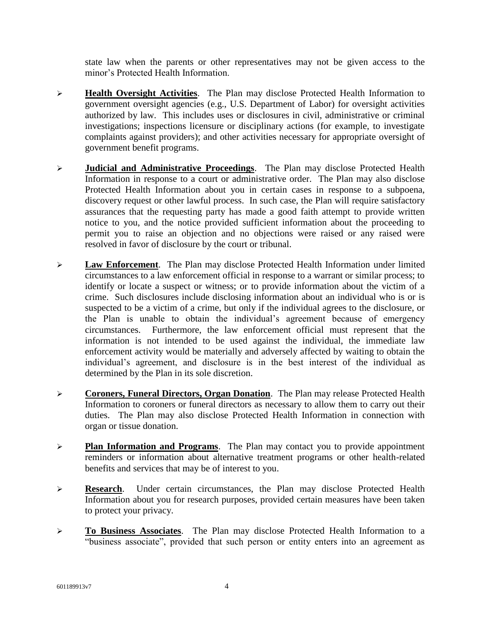state law when the parents or other representatives may not be given access to the minor's Protected Health Information.

- **Health Oversight Activities**. The Plan may disclose Protected Health Information to government oversight agencies (e.g., U.S. Department of Labor) for oversight activities authorized by law. This includes uses or disclosures in civil, administrative or criminal investigations; inspections licensure or disciplinary actions (for example, to investigate complaints against providers); and other activities necessary for appropriate oversight of government benefit programs.
- **Judicial and Administrative Proceedings**. The Plan may disclose Protected Health Information in response to a court or administrative order. The Plan may also disclose Protected Health Information about you in certain cases in response to a subpoena, discovery request or other lawful process. In such case, the Plan will require satisfactory assurances that the requesting party has made a good faith attempt to provide written notice to you, and the notice provided sufficient information about the proceeding to permit you to raise an objection and no objections were raised or any raised were resolved in favor of disclosure by the court or tribunal.
- **Law Enforcement**. The Plan may disclose Protected Health Information under limited circumstances to a law enforcement official in response to a warrant or similar process; to identify or locate a suspect or witness; or to provide information about the victim of a crime. Such disclosures include disclosing information about an individual who is or is suspected to be a victim of a crime, but only if the individual agrees to the disclosure, or the Plan is unable to obtain the individual's agreement because of emergency circumstances. Furthermore, the law enforcement official must represent that the information is not intended to be used against the individual, the immediate law enforcement activity would be materially and adversely affected by waiting to obtain the individual's agreement, and disclosure is in the best interest of the individual as determined by the Plan in its sole discretion.
- **Coroners, Funeral Directors, Organ Donation**. The Plan may release Protected Health Information to coroners or funeral directors as necessary to allow them to carry out their duties. The Plan may also disclose Protected Health Information in connection with organ or tissue donation.
- **Plan Information and Programs**. The Plan may contact you to provide appointment reminders or information about alternative treatment programs or other health-related benefits and services that may be of interest to you.
- **Research.** Under certain circumstances, the Plan may disclose Protected Health Information about you for research purposes, provided certain measures have been taken to protect your privacy.
- **To Business Associates**. The Plan may disclose Protected Health Information to a "business associate", provided that such person or entity enters into an agreement as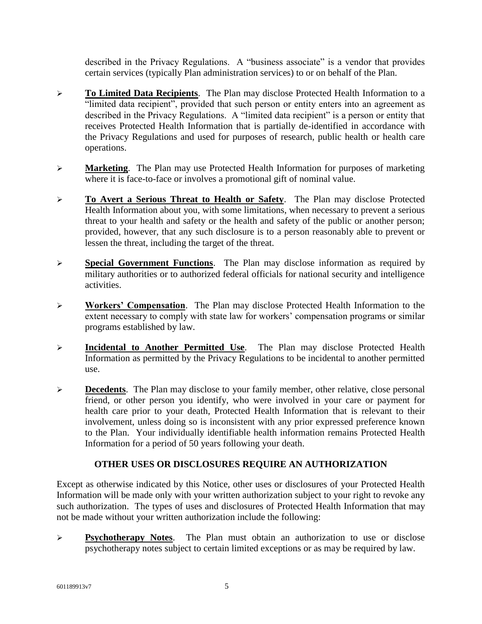described in the Privacy Regulations. A "business associate" is a vendor that provides certain services (typically Plan administration services) to or on behalf of the Plan.

- **To Limited Data Recipients**. The Plan may disclose Protected Health Information to a "limited data recipient", provided that such person or entity enters into an agreement as described in the Privacy Regulations. A "limited data recipient" is a person or entity that receives Protected Health Information that is partially de-identified in accordance with the Privacy Regulations and used for purposes of research, public health or health care operations.
- **Marketing**. The Plan may use Protected Health Information for purposes of marketing where it is face-to-face or involves a promotional gift of nominal value.
- **To Avert a Serious Threat to Health or Safety**. The Plan may disclose Protected Health Information about you, with some limitations, when necessary to prevent a serious threat to your health and safety or the health and safety of the public or another person; provided, however, that any such disclosure is to a person reasonably able to prevent or lessen the threat, including the target of the threat.
- **Special Government Functions**. The Plan may disclose information as required by military authorities or to authorized federal officials for national security and intelligence activities.
- **Workers' Compensation**. The Plan may disclose Protected Health Information to the extent necessary to comply with state law for workers' compensation programs or similar programs established by law.
- **Incidental to Another Permitted Use**. The Plan may disclose Protected Health Information as permitted by the Privacy Regulations to be incidental to another permitted use.
- **Decedents**. The Plan may disclose to your family member, other relative, close personal friend, or other person you identify, who were involved in your care or payment for health care prior to your death, Protected Health Information that is relevant to their involvement, unless doing so is inconsistent with any prior expressed preference known to the Plan. Your individually identifiable health information remains Protected Health Information for a period of 50 years following your death.

# **OTHER USES OR DISCLOSURES REQUIRE AN AUTHORIZATION**

Except as otherwise indicated by this Notice, other uses or disclosures of your Protected Health Information will be made only with your written authorization subject to your right to revoke any such authorization. The types of uses and disclosures of Protected Health Information that may not be made without your written authorization include the following:

 **Psychotherapy Notes**. The Plan must obtain an authorization to use or disclose psychotherapy notes subject to certain limited exceptions or as may be required by law.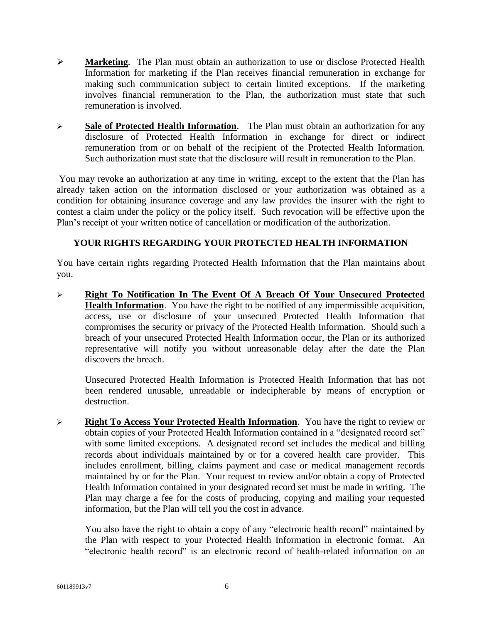- **Marketing**. The Plan must obtain an authorization to use or disclose Protected Health Information for marketing if the Plan receives financial remuneration in exchange for making such communication subject to certain limited exceptions. If the marketing involves financial remuneration to the Plan, the authorization must state that such remuneration is involved.
- **Sale of Protected Health Information**. The Plan must obtain an authorization for any disclosure of Protected Health Information in exchange for direct or indirect remuneration from or on behalf of the recipient of the Protected Health Information. Such authorization must state that the disclosure will result in remuneration to the Plan.

You may revoke an authorization at any time in writing, except to the extent that the Plan has already taken action on the information disclosed or your authorization was obtained as a condition for obtaining insurance coverage and any law provides the insurer with the right to contest a claim under the policy or the policy itself. Such revocation will be effective upon the Plan's receipt of your written notice of cancellation or modification of the authorization.

# **YOUR RIGHTS REGARDING YOUR PROTECTED HEALTH INFORMATION**

You have certain rights regarding Protected Health Information that the Plan maintains about you.

 **Right To Notification In The Event Of A Breach Of Your Unsecured Protected Health Information**. You have the right to be notified of any impermissible acquisition, access, use or disclosure of your unsecured Protected Health Information that compromises the security or privacy of the Protected Health Information. Should such a breach of your unsecured Protected Health Information occur, the Plan or its authorized representative will notify you without unreasonable delay after the date the Plan discovers the breach.

Unsecured Protected Health Information is Protected Health Information that has not been rendered unusable, unreadable or indecipherable by means of encryption or destruction.

 **Right To Access Your Protected Health Information**. You have the right to review or obtain copies of your Protected Health Information contained in a "designated record set" with some limited exceptions. A designated record set includes the medical and billing records about individuals maintained by or for a covered health care provider. This includes enrollment, billing, claims payment and case or medical management records maintained by or for the Plan. Your request to review and/or obtain a copy of Protected Health Information contained in your designated record set must be made in writing. The Plan may charge a fee for the costs of producing, copying and mailing your requested information, but the Plan will tell you the cost in advance.

You also have the right to obtain a copy of any "electronic health record" maintained by the Plan with respect to your Protected Health Information in electronic format. An "electronic health record" is an electronic record of health-related information on an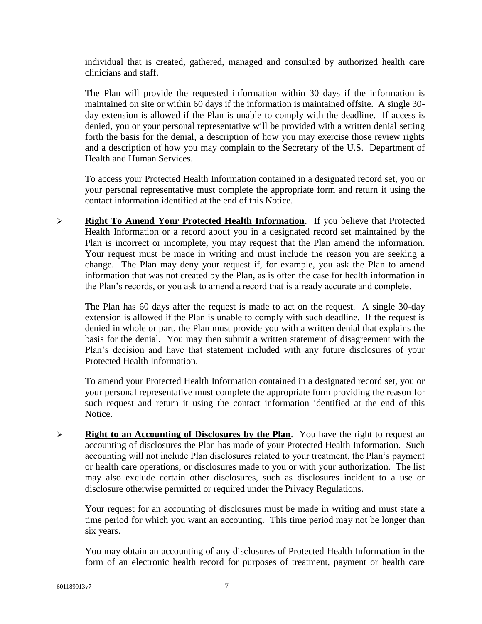individual that is created, gathered, managed and consulted by authorized health care clinicians and staff.

The Plan will provide the requested information within 30 days if the information is maintained on site or within 60 days if the information is maintained offsite. A single 30 day extension is allowed if the Plan is unable to comply with the deadline. If access is denied, you or your personal representative will be provided with a written denial setting forth the basis for the denial, a description of how you may exercise those review rights and a description of how you may complain to the Secretary of the U.S. Department of Health and Human Services.

To access your Protected Health Information contained in a designated record set, you or your personal representative must complete the appropriate form and return it using the contact information identified at the end of this Notice.

 **Right To Amend Your Protected Health Information**. If you believe that Protected Health Information or a record about you in a designated record set maintained by the Plan is incorrect or incomplete, you may request that the Plan amend the information. Your request must be made in writing and must include the reason you are seeking a change. The Plan may deny your request if, for example, you ask the Plan to amend information that was not created by the Plan, as is often the case for health information in the Plan's records, or you ask to amend a record that is already accurate and complete.

The Plan has 60 days after the request is made to act on the request. A single 30-day extension is allowed if the Plan is unable to comply with such deadline. If the request is denied in whole or part, the Plan must provide you with a written denial that explains the basis for the denial. You may then submit a written statement of disagreement with the Plan's decision and have that statement included with any future disclosures of your Protected Health Information.

To amend your Protected Health Information contained in a designated record set, you or your personal representative must complete the appropriate form providing the reason for such request and return it using the contact information identified at the end of this Notice.

 **Right to an Accounting of Disclosures by the Plan**. You have the right to request an accounting of disclosures the Plan has made of your Protected Health Information. Such accounting will not include Plan disclosures related to your treatment, the Plan's payment or health care operations, or disclosures made to you or with your authorization. The list may also exclude certain other disclosures, such as disclosures incident to a use or disclosure otherwise permitted or required under the Privacy Regulations.

Your request for an accounting of disclosures must be made in writing and must state a time period for which you want an accounting. This time period may not be longer than six years.

You may obtain an accounting of any disclosures of Protected Health Information in the form of an electronic health record for purposes of treatment, payment or health care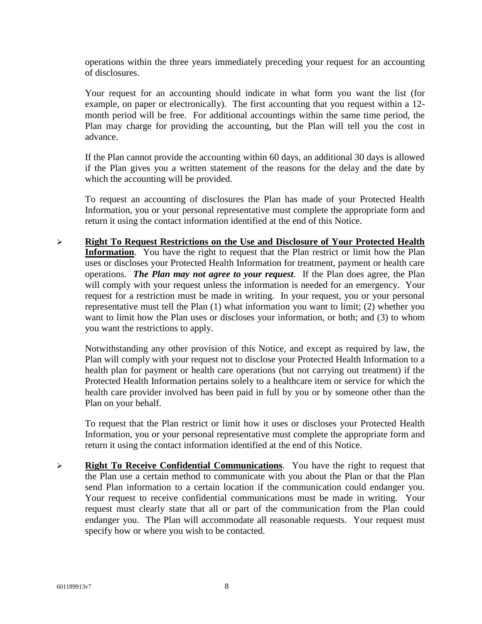operations within the three years immediately preceding your request for an accounting of disclosures.

Your request for an accounting should indicate in what form you want the list (for example, on paper or electronically). The first accounting that you request within a 12 month period will be free. For additional accountings within the same time period, the Plan may charge for providing the accounting, but the Plan will tell you the cost in advance.

If the Plan cannot provide the accounting within 60 days, an additional 30 days is allowed if the Plan gives you a written statement of the reasons for the delay and the date by which the accounting will be provided.

To request an accounting of disclosures the Plan has made of your Protected Health Information, you or your personal representative must complete the appropriate form and return it using the contact information identified at the end of this Notice.

 **Right To Request Restrictions on the Use and Disclosure of Your Protected Health Information**. You have the right to request that the Plan restrict or limit how the Plan uses or discloses your Protected Health Information for treatment, payment or health care operations. *The Plan may not agree to your request*. If the Plan does agree, the Plan will comply with your request unless the information is needed for an emergency. Your request for a restriction must be made in writing. In your request, you or your personal representative must tell the Plan (1) what information you want to limit; (2) whether you want to limit how the Plan uses or discloses your information, or both; and (3) to whom you want the restrictions to apply.

Notwithstanding any other provision of this Notice, and except as required by law, the Plan will comply with your request not to disclose your Protected Health Information to a health plan for payment or health care operations (but not carrying out treatment) if the Protected Health Information pertains solely to a healthcare item or service for which the health care provider involved has been paid in full by you or by someone other than the Plan on your behalf.

To request that the Plan restrict or limit how it uses or discloses your Protected Health Information, you or your personal representative must complete the appropriate form and return it using the contact information identified at the end of this Notice.

**Right To Receive Confidential Communications**. You have the right to request that the Plan use a certain method to communicate with you about the Plan or that the Plan send Plan information to a certain location if the communication could endanger you. Your request to receive confidential communications must be made in writing. Your request must clearly state that all or part of the communication from the Plan could endanger you. The Plan will accommodate all reasonable requests. Your request must specify how or where you wish to be contacted.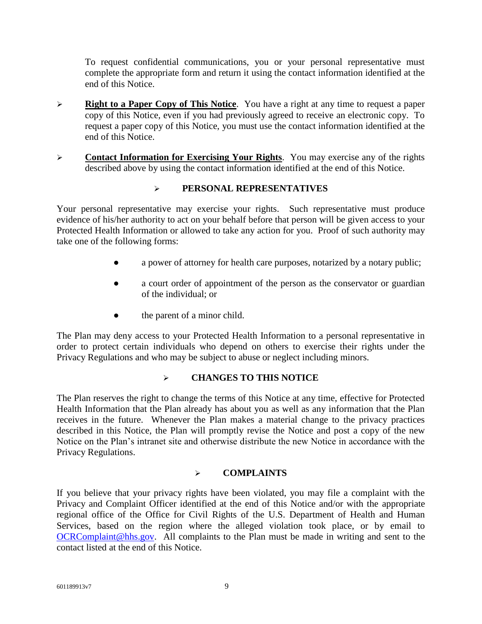To request confidential communications, you or your personal representative must complete the appropriate form and return it using the contact information identified at the end of this Notice.

- **Right to a Paper Copy of This Notice**. You have a right at any time to request a paper copy of this Notice, even if you had previously agreed to receive an electronic copy. To request a paper copy of this Notice, you must use the contact information identified at the end of this Notice.
- **Contact Information for Exercising Your Rights**. You may exercise any of the rights described above by using the contact information identified at the end of this Notice.

# **PERSONAL REPRESENTATIVES**

Your personal representative may exercise your rights. Such representative must produce evidence of his/her authority to act on your behalf before that person will be given access to your Protected Health Information or allowed to take any action for you. Proof of such authority may take one of the following forms:

- a power of attorney for health care purposes, notarized by a notary public;
- a court order of appointment of the person as the conservator or guardian of the individual; or
- the parent of a minor child.

The Plan may deny access to your Protected Health Information to a personal representative in order to protect certain individuals who depend on others to exercise their rights under the Privacy Regulations and who may be subject to abuse or neglect including minors.

# **CHANGES TO THIS NOTICE**

The Plan reserves the right to change the terms of this Notice at any time, effective for Protected Health Information that the Plan already has about you as well as any information that the Plan receives in the future. Whenever the Plan makes a material change to the privacy practices described in this Notice, the Plan will promptly revise the Notice and post a copy of the new Notice on the Plan's intranet site and otherwise distribute the new Notice in accordance with the Privacy Regulations.

# **COMPLAINTS**

If you believe that your privacy rights have been violated, you may file a complaint with the Privacy and Complaint Officer identified at the end of this Notice and/or with the appropriate regional office of the Office for Civil Rights of the U.S. Department of Health and Human Services, based on the region where the alleged violation took place, or by email to [OCRComplaint@hhs.gov.](mailto:OCRComplaint@hhs.gov) All complaints to the Plan must be made in writing and sent to the contact listed at the end of this Notice.